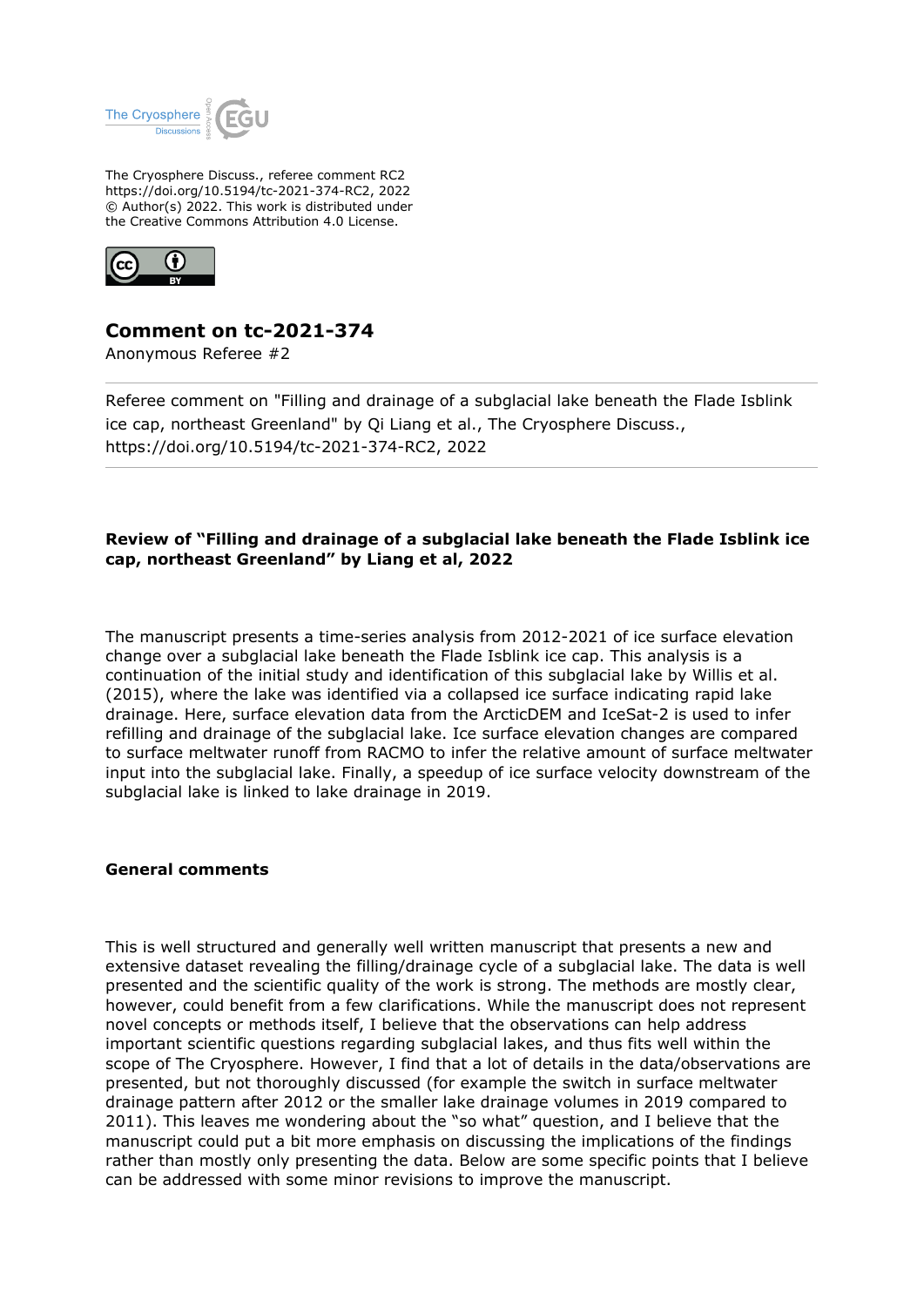

The Cryosphere Discuss., referee comment RC2 https://doi.org/10.5194/tc-2021-374-RC2, 2022 © Author(s) 2022. This work is distributed under the Creative Commons Attribution 4.0 License.



## **Comment on tc-2021-374**

Anonymous Referee #2

Referee comment on "Filling and drainage of a subglacial lake beneath the Flade Isblink ice cap, northeast Greenland" by Qi Liang et al., The Cryosphere Discuss., https://doi.org/10.5194/tc-2021-374-RC2, 2022

## **Review of "Filling and drainage of a subglacial lake beneath the Flade Isblink ice cap, northeast Greenland" by Liang et al, 2022**

The manuscript presents a time-series analysis from 2012-2021 of ice surface elevation change over a subglacial lake beneath the Flade Isblink ice cap. This analysis is a continuation of the initial study and identification of this subglacial lake by Willis et al. (2015), where the lake was identified via a collapsed ice surface indicating rapid lake drainage. Here, surface elevation data from the ArcticDEM and IceSat-2 is used to infer refilling and drainage of the subglacial lake. Ice surface elevation changes are compared to surface meltwater runoff from RACMO to infer the relative amount of surface meltwater input into the subglacial lake. Finally, a speedup of ice surface velocity downstream of the subglacial lake is linked to lake drainage in 2019.

## **General comments**

This is well structured and generally well written manuscript that presents a new and extensive dataset revealing the filling/drainage cycle of a subglacial lake. The data is well presented and the scientific quality of the work is strong. The methods are mostly clear, however, could benefit from a few clarifications. While the manuscript does not represent novel concepts or methods itself, I believe that the observations can help address important scientific questions regarding subglacial lakes, and thus fits well within the scope of The Cryosphere. However, I find that a lot of details in the data/observations are presented, but not thoroughly discussed (for example the switch in surface meltwater drainage pattern after 2012 or the smaller lake drainage volumes in 2019 compared to 2011). This leaves me wondering about the "so what" question, and I believe that the manuscript could put a bit more emphasis on discussing the implications of the findings rather than mostly only presenting the data. Below are some specific points that I believe can be addressed with some minor revisions to improve the manuscript.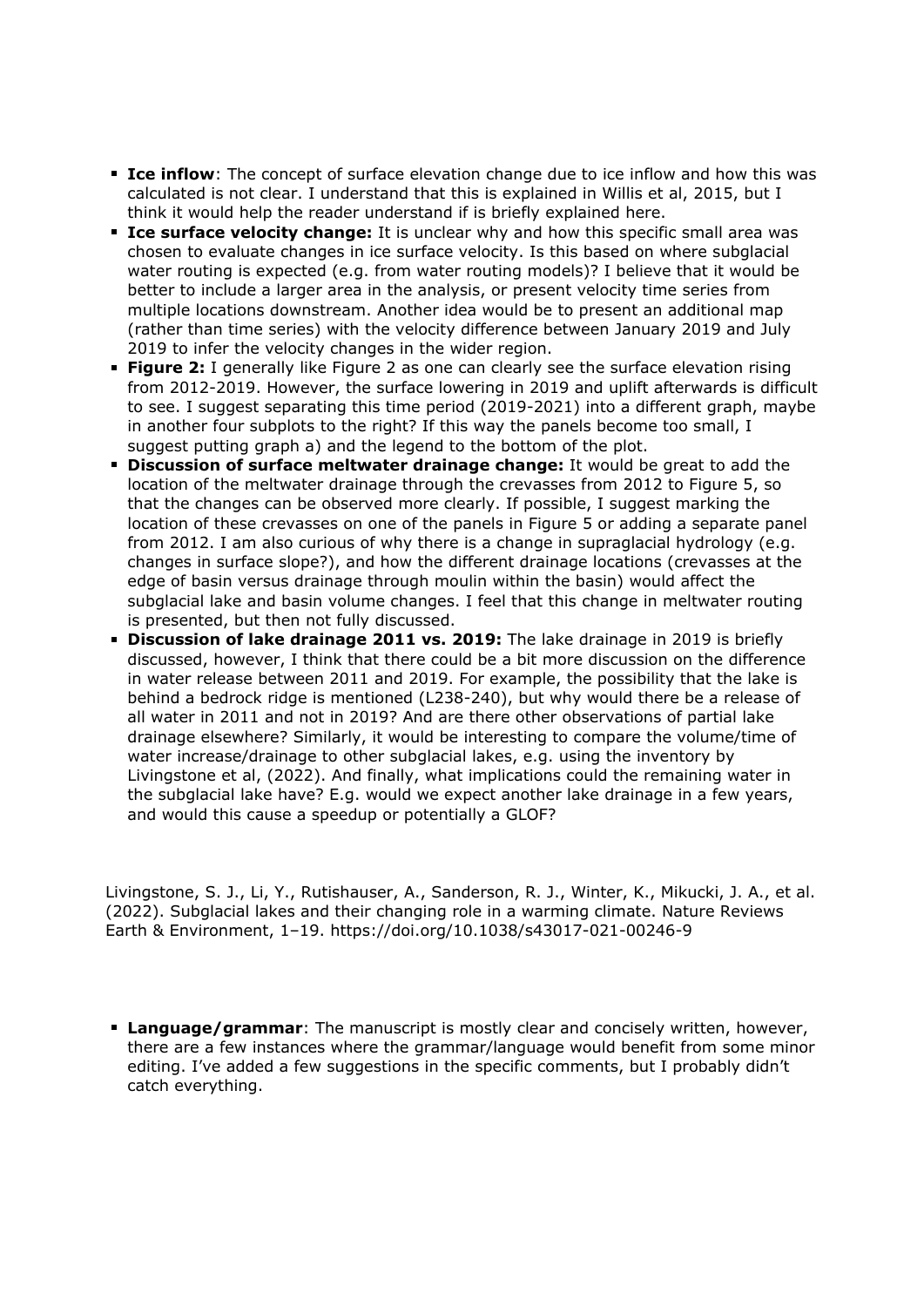- **Ice inflow**: The concept of surface elevation change due to ice inflow and how this was calculated is not clear. I understand that this is explained in Willis et al, 2015, but I think it would help the reader understand if is briefly explained here.
- **Ice surface velocity change:** It is unclear why and how this specific small area was chosen to evaluate changes in ice surface velocity. Is this based on where subglacial water routing is expected (e.g. from water routing models)? I believe that it would be better to include a larger area in the analysis, or present velocity time series from multiple locations downstream. Another idea would be to present an additional map (rather than time series) with the velocity difference between January 2019 and July 2019 to infer the velocity changes in the wider region.
- **Figure 2:** I generally like Figure 2 as one can clearly see the surface elevation rising from 2012-2019. However, the surface lowering in 2019 and uplift afterwards is difficult to see. I suggest separating this time period (2019-2021) into a different graph, maybe in another four subplots to the right? If this way the panels become too small, I suggest putting graph a) and the legend to the bottom of the plot.
- **Discussion of surface meltwater drainage change:** It would be great to add the location of the meltwater drainage through the crevasses from 2012 to Figure 5, so that the changes can be observed more clearly. If possible, I suggest marking the location of these crevasses on one of the panels in Figure 5 or adding a separate panel from 2012. I am also curious of why there is a change in supraglacial hydrology (e.g. changes in surface slope?), and how the different drainage locations (crevasses at the edge of basin versus drainage through moulin within the basin) would affect the subglacial lake and basin volume changes. I feel that this change in meltwater routing is presented, but then not fully discussed.
- **Discussion of lake drainage 2011 vs. 2019:** The lake drainage in 2019 is briefly discussed, however, I think that there could be a bit more discussion on the difference in water release between 2011 and 2019. For example, the possibility that the lake is behind a bedrock ridge is mentioned (L238-240), but why would there be a release of all water in 2011 and not in 2019? And are there other observations of partial lake drainage elsewhere? Similarly, it would be interesting to compare the volume/time of water increase/drainage to other subglacial lakes, e.g. using the inventory by Livingstone et al, (2022). And finally, what implications could the remaining water in the subglacial lake have? E.g. would we expect another lake drainage in a few years, and would this cause a speedup or potentially a GLOF?

Livingstone, S. J., Li, Y., Rutishauser, A., Sanderson, R. J., Winter, K., Mikucki, J. A., et al. (2022). Subglacial lakes and their changing role in a warming climate. Nature Reviews Earth & Environment, 1–19. https://doi.org/10.1038/s43017-021-00246-9

**Language/grammar**: The manuscript is mostly clear and concisely written, however, there are a few instances where the grammar/language would benefit from some minor editing. I've added a few suggestions in the specific comments, but I probably didn't catch everything.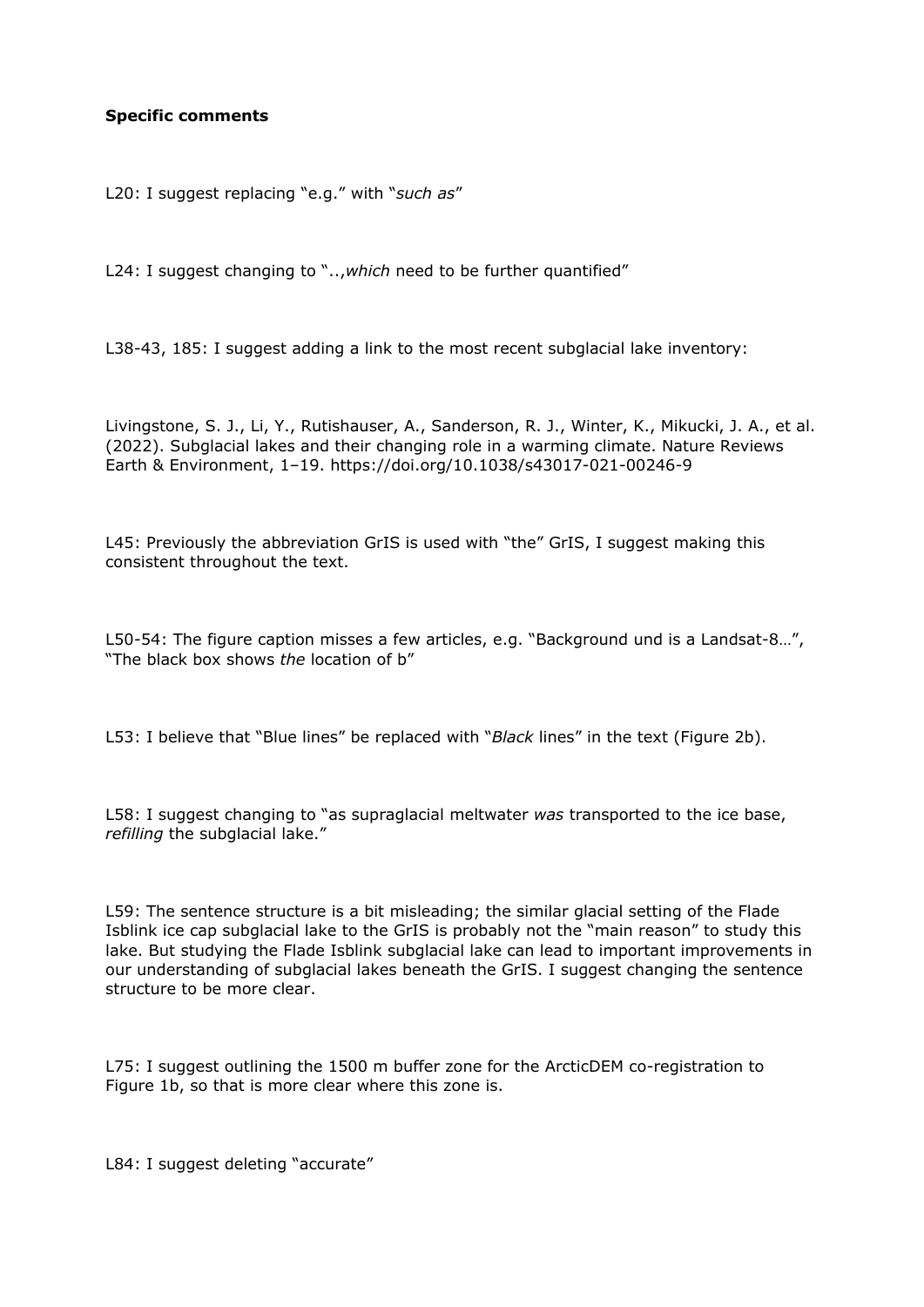## **Specific comments**

L20: I suggest replacing "e.g." with "*such as*"

L24: I suggest changing to "..,*which* need to be further quantified"

L38-43, 185: I suggest adding a link to the most recent subglacial lake inventory:

Livingstone, S. J., Li, Y., Rutishauser, A., Sanderson, R. J., Winter, K., Mikucki, J. A., et al. (2022). Subglacial lakes and their changing role in a warming climate. Nature Reviews Earth & Environment, 1–19. https://doi.org/10.1038/s43017-021-00246-9

L45: Previously the abbreviation GrIS is used with "the" GrIS, I suggest making this consistent throughout the text.

L50-54: The figure caption misses a few articles, e.g. "Background und is a Landsat-8…", "The black box shows *the* location of b"

L53: I believe that "Blue lines" be replaced with "*Black* lines" in the text (Figure 2b).

L58: I suggest changing to "as supraglacial meltwater *was* transported to the ice base, *refilling* the subglacial lake."

L59: The sentence structure is a bit misleading; the similar glacial setting of the Flade Isblink ice cap subglacial lake to the GrIS is probably not the "main reason" to study this lake. But studying the Flade Isblink subglacial lake can lead to important improvements in our understanding of subglacial lakes beneath the GrIS. I suggest changing the sentence structure to be more clear.

L75: I suggest outlining the 1500 m buffer zone for the ArcticDEM co-registration to Figure 1b, so that is more clear where this zone is.

L84: I suggest deleting "accurate"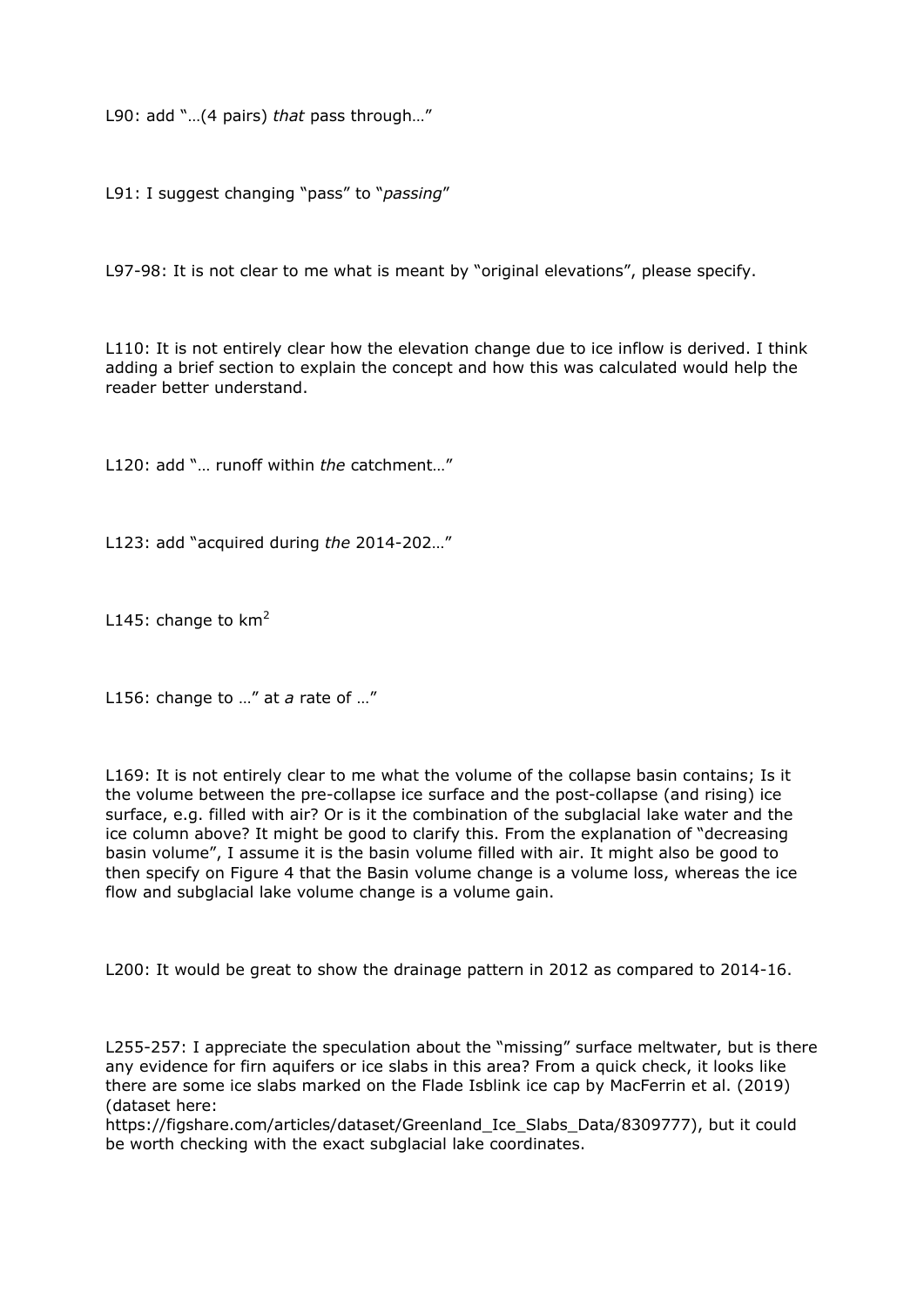L90: add "…(4 pairs) *that* pass through…"

L91: I suggest changing "pass" to "*passing*"

L97-98: It is not clear to me what is meant by "original elevations", please specify.

L110: It is not entirely clear how the elevation change due to ice inflow is derived. I think adding a brief section to explain the concept and how this was calculated would help the reader better understand.

L120: add "… runoff within *the* catchment…"

L123: add "acquired during *the* 2014-202…"

L145: change to  $km<sup>2</sup>$ 

L156: change to …" at *a* rate of …"

L169: It is not entirely clear to me what the volume of the collapse basin contains; Is it the volume between the pre-collapse ice surface and the post-collapse (and rising) ice surface, e.g. filled with air? Or is it the combination of the subglacial lake water and the ice column above? It might be good to clarify this. From the explanation of "decreasing basin volume", I assume it is the basin volume filled with air. It might also be good to then specify on Figure 4 that the Basin volume change is a volume loss, whereas the ice flow and subglacial lake volume change is a volume gain.

L200: It would be great to show the drainage pattern in 2012 as compared to 2014-16.

L255-257: I appreciate the speculation about the "missing" surface meltwater, but is there any evidence for firn aquifers or ice slabs in this area? From a quick check, it looks like there are some ice slabs marked on the Flade Isblink ice cap by MacFerrin et al. (2019) (dataset here:

https://figshare.com/articles/dataset/Greenland\_Ice\_Slabs\_Data/8309777), but it could be worth checking with the exact subglacial lake coordinates.